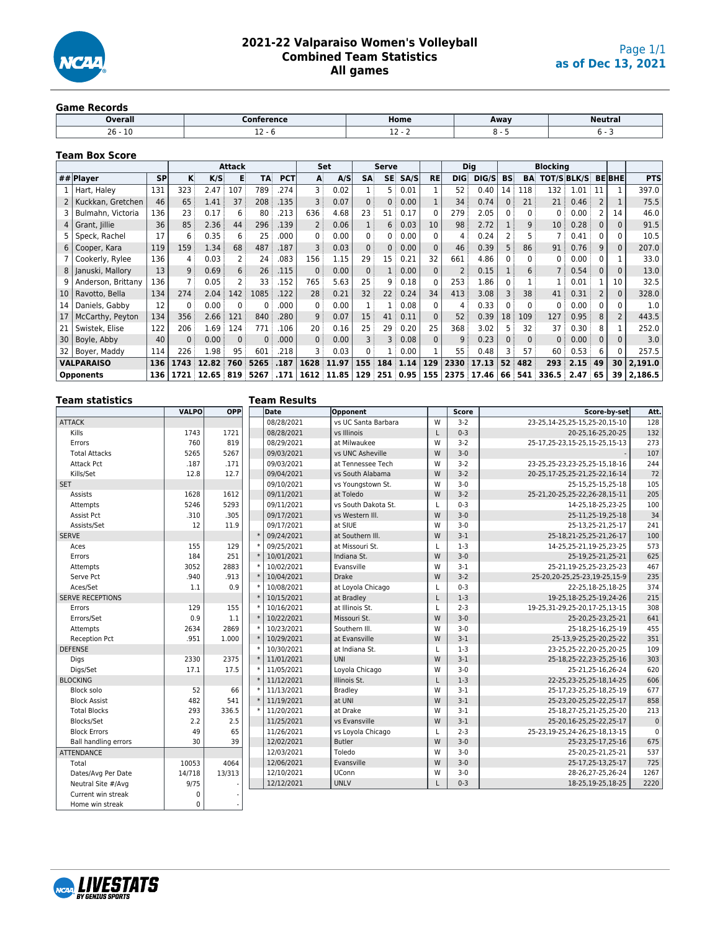

# **2021-22 Valparaiso Women's Volleyball Combined Team Statistics All games**

#### **Game Records**

| <b>Overall</b>  | `onference | Home    | Away | <b>Neutral</b> |
|-----------------|------------|---------|------|----------------|
| $26 -$<br>- T N |            | <b></b> |      |                |
|                 |            |         |      |                |

#### **Team Box Score**

|                 |                    |           |              |           | <b>Attack</b> |           |            |              | Set        |                | Serve           |      |           |                | <b>Blocking</b><br><b>Dig</b> |           |                |                    |                   |              |                |            |
|-----------------|--------------------|-----------|--------------|-----------|---------------|-----------|------------|--------------|------------|----------------|-----------------|------|-----------|----------------|-------------------------------|-----------|----------------|--------------------|-------------------|--------------|----------------|------------|
|                 | ## Player          | <b>SP</b> | K.           | K/S       | E             | TA        | <b>PCT</b> | A            | A/S        | <b>SA</b>      | SE:             | SA/S | <b>RE</b> | <b>DIG</b>     | DIG/S                         | <b>BS</b> | <b>BA</b>      | <b>TOT/S BLK/S</b> |                   |              | <b>BEBHE</b>   | <b>PTS</b> |
|                 | Hart, Haley        | 131       | 323          | 2.47      | 107           | 789       | .274       | 3            | 0.02       |                | 5:              | 0.01 |           | 52:            | 0.40                          | 14        | : 118          | 132:               | 1.01              | - 11         |                | 397.0      |
|                 | Kuckkan, Gretchen  | 46        | 65           | 1.41      | 37            | 208       | .135       | 3            | 0.07       | 0 <sup>3</sup> | 0               | 0.00 |           | 34             | 0.74                          | 0:        | 21             | 21:                | 0.46:             | 2            |                | 75.5       |
|                 | Bulmahn, Victoria  | 136       | 23           | 0.17      | 6             | 80        | .213       | 636          | 4.68       | 23             | 51              | 0.17 |           | 279            | 2.05                          | 0:        | 0              | 0:                 | 0.00              |              | 14             | 46.0       |
|                 | Grant, Jillie      | 36        | 85           | 2.36      | 44            | 296       | .139       | 2            | 0.06       | 1:             | 6               | 0.03 | 10        | 98             | 2.72                          |           | 9 <sup>1</sup> | 10 <sup>1</sup>    | 0.28              | 0            | O              | 91.5       |
|                 | Speck, Rachel      | 17        | 6            | 0.35      | 6             | 25        | .000       | 0            | 0.00       | $\mathbf{0}$   | 0:              | 0.00 | 0         | 4              | 0.24                          |           | 5.             | 7 :                | 0.41              | 0            |                | 10.5       |
| 6               | Cooper, Kara       | 119       | 159          | 1.34      | 68            | 487       | .187       | 3            | 0.03       | 0 <sup>3</sup> | $\Omega$        | 0.00 | $\Omega$  | 46             | 0.39                          |           | 86             | 91                 | 0.76              | 9            | 0              | 207.0      |
|                 | Cookerly, Rylee    | 136       | 4            | 0.03      |               | 24        | .083       | 156          | 1.15       | 29             | 15 <sup>1</sup> | 0.21 | 32        | 661            | 4.86                          | $0 -$     | $\mathbf{0}$   | 0:                 | 0.00              | 0            |                | 33.0       |
| 8               | Januski, Mallory   | 13        | 9:           | 0.69      | 6:            | 26        | .115       | $\mathbf{0}$ | 0.00       | 0 <sup>3</sup> | 1:              | 0.00 | $\Omega$  | $\overline{2}$ | 0.15                          |           | 6:             | 7:                 | 0.54              | $\mathbf{0}$ | $\Omega$       | 13.0       |
|                 | Anderson, Brittany | 136       |              | 0.05      |               | 33        | .152       | 765          | 5.63       | 25             | q.              | 0.18 | 0         | 253            | 1.86                          | 0:        |                |                    | 0.01              |              | 10             | 32.5       |
| 10 <sup>°</sup> | Ravotto, Bella     | 134       | 274          | 2.04      | 142           | 1085      | .122       | 28           | 0.21       | 32             | 22:             | 0.24 | 34        | 413            | 3.08                          |           | 38             | 41:                | 0.31              | $\mathbf{2}$ | 0              | 328.0      |
| 14              | Daniels, Gabby     | 12        | $\mathbf{0}$ | 0.00      | $\Omega$      | 0         | .000       | 0            | 0.00       |                |                 | 0.08 | 0         | $\overline{4}$ | 0.33                          | 0:        | $\Omega$       | 0:                 | 0.00              | 0            |                | 1.0        |
| 17              | McCarthy, Peyton   | 134       | 356          | 2.66      | 121           | 840       | .280       | 9            | 0.07       | 15             | 41              | 0.11 | $\Omega$  | 52             | 0.39                          | 18        | 109            | 127                | 0.95              | 8            | $\overline{2}$ | 443.5      |
| 21              | Swistek, Elise     | 122       | 206          | 1.69      | 124           | 771       | .106       | 20           | 0.16       | 25             | 29              | 0.20 | 25        | 368            | 3.02                          |           | 32             | 37 <sup>1</sup>    | 0.30              | 8            |                | 252.0      |
| 30              | Boyle, Abby        | 40        | $0$ :        | 0.00      | $\Omega$      | 0         | .000       | 0            | 0.00       | $\overline{3}$ | 3               | 0.08 | $\Omega$  | 9 <sup>1</sup> | 0.23                          |           | 0 <sup>1</sup> | 0 <sup>1</sup>     | 0.00              | 0            |                | 3.0        |
|                 | Boyer, Maddy       | 114       | 226          | 1.98      | 95            | 601       | .218       | 3            | 0.03       | $\mathbf{0}$   | 1:              | 0.00 |           | 55             | 0.48                          |           | 57             | 60:                | 0.53              | 6            |                | 257.5      |
|                 | <b>VALPARAISO</b>  | 136       | 1743         | 12.82     | 760           | 5265      | .187       | 1628         | 11.97      | 155            | 184             | 1.14 | 129       | 2330           | 17.13                         | 52        | 482            | 293                | 2.15              | 49           | 30             | 2,191.0    |
|                 | <b>Opponents</b>   | 136       | 1721         | 12.65 819 |               | 5267 .171 |            |              | 1612 11.85 | 129            | 251             | 0.95 | 155       |                | 2375 17.46                    | 66        | 541            | 336.5              | 2.47 <sup>1</sup> | 65           | 39             | 2,186.5    |
|                 |                    |           |              |           |               |           |            |              |            |                |                 |      |           |                |                               |           |                |                    |                   |              |                |            |

| <b>Team statistics</b>      |              |            |        | <b>Team Results</b> |                     |              |              |                                   |             |
|-----------------------------|--------------|------------|--------|---------------------|---------------------|--------------|--------------|-----------------------------------|-------------|
|                             | <b>VALPO</b> | <b>OPP</b> |        | <b>Date</b>         | Opponent            |              | <b>Score</b> | Score-by-set                      | Att.        |
| ATTACK                      |              |            |        | 08/28/2021          | vs UC Santa Barbara | W            | $3-2$        | 23-25.14-25.25-15.25-20.15-10     | 128         |
| Kills                       | 1743         | 1721       |        | 08/28/2021          | vs Illinois         | L            | $0 - 3$      | 20-25,16-25,20-25                 | 132         |
| Errors                      | 760          | 819        |        | 08/29/2021          | at Milwaukee        | W            | $3 - 2$      | 25-17, 25-23, 15-25, 15-25, 15-13 | 273         |
| <b>Total Attacks</b>        | 5265         | 5267       |        | 09/03/2021          | vs UNC Asheville    | W            | $3 - 0$      |                                   | 107         |
| <b>Attack Pct</b>           | .187         | .171       |        | 09/03/2021          | at Tennessee Tech   | W            | $3 - 2$      | 23-25,25-23,23-25,25-15,18-16     | 244         |
| Kills/Set                   | 12.8         | 12.7       |        | 09/04/2021          | vs South Alabama    | W            | $3 - 2$      | 20-25,17-25,25-21,25-22,16-14     | 72          |
| <b>SET</b>                  |              |            |        | 09/10/2021          | vs Youngstown St.   | W            | $3-0$        | 25-15.25-15.25-18                 | 105         |
| Assists                     | 1628         | 1612       |        | 09/11/2021          | at Toledo           | W            | $3-2$        | 25-21,20-25,25-22,26-28,15-11     | 205         |
| Attempts                    | 5246         | 5293       |        | 09/11/2021          | vs South Dakota St. | L            | $0 - 3$      | 14-25,18-25,23-25                 | 100         |
| Assist Pct                  | .310         | .305       |        | 09/17/2021          | vs Western III.     | W            | $3 - 0$      | 25-11,25-19,25-18                 | 34          |
| Assists/Set                 | 12           | 11.9       |        | 09/17/2021          | at SIUE             | W            | $3 - 0$      | 25-13,25-21,25-17                 | 241         |
| <b>SERVE</b>                |              |            | $\ast$ | 09/24/2021          | at Southern III.    | W            | $3-1$        | 25-18,21-25,25-21,26-17           | 100         |
| Aces                        | 155          | 129        |        | 09/25/2021          | at Missouri St.     | L            | $1-3$        | 14-25,25-21,19-25,23-25           | 573         |
| Errors                      | 184          | 251        |        | 10/01/2021          | Indiana St.         | W            | $3 - 0$      | 25-19.25-21.25-21                 | 625         |
| Attempts                    | 3052         | 2883       |        | 10/02/2021          | Evansville          | W            | $3-1$        | 25-21,19-25,25-23,25-23           | 467         |
| Serve Pct                   | .940         | .913       | ×,     | 10/04/2021          | <b>Drake</b>        | W            | $3 - 2$      | 25-20, 20-25, 25-23, 19-25, 15-9  | 235         |
| Aces/Set                    | 1.1          | 0.9        |        | 10/08/2021          | at Loyola Chicago   | L            | $0 - 3$      | 22-25,18-25,18-25                 | 374         |
| <b>SERVE RECEPTIONS</b>     |              |            | ×      | 10/15/2021          | at Bradley          | L            | $1-3$        | 19-25, 18-25, 25-19, 24-26        | 215         |
| Errors                      | 129          | 155        |        | 10/16/2021          | at Illinois St.     | $\mathsf{L}$ | $2 - 3$      | 19-25, 31-29, 25-20, 17-25, 13-15 | 308         |
| Errors/Set                  | 0.9          | 1.1        |        | 10/22/2021          | Missouri St.        | W            | $3 - 0$      | 25-20,25-23,25-21                 | 641         |
| Attempts                    | 2634         | 2869       |        | 10/23/2021          | Southern III.       | W            | $3 - 0$      | 25-18,25-16,25-19                 | 455         |
| <b>Reception Pct</b>        | .951         | 1.000      | $\ast$ | 10/29/2021          | at Evansville       | W            | $3-1$        | 25-13,9-25,25-20,25-22            | 351         |
| <b>DEFENSE</b>              |              |            |        | 10/30/2021          | at Indiana St.      | L            | $1-3$        | 23-25,25-22,20-25,20-25           | 109         |
| Digs                        | 2330         | 2375       |        | 11/01/2021          | <b>UNI</b>          | W            | $3-1$        | 25-18,25-22,23-25,25-16           | 303         |
| Digs/Set                    | 17.1         | 17.5       |        | 11/05/2021          | Loyola Chicago      | W            | $3 - 0$      | 25-21.25-16.26-24                 | 620         |
| <b>BLOCKING</b>             |              |            |        | 11/12/2021          | Illinois St.        | L.           | $1-3$        | 22-25,23-25,25-18,14-25           | 606         |
| Block solo                  | 52           | 66         |        | 11/13/2021          | <b>Bradley</b>      | W            | $3-1$        | 25-17,23-25,25-18,25-19           | 677         |
| <b>Block Assist</b>         | 482          | 541        | ×      | 11/19/2021          | at UNI              | W            | $3-1$        | 25-23, 20-25, 25-22, 25-17        | 858         |
| <b>Total Blocks</b>         | 293          | 336.5      |        | 11/20/2021          | at Drake            | W            | $3-1$        | 25-18,27-25,21-25,25-20           | 213         |
| Blocks/Set                  | 2.2          | 2.5        |        | 11/25/2021          | vs Evansville       | W            | $3-1$        | 25-20,16-25,25-22,25-17           | $\pmb{0}$   |
| <b>Block Errors</b>         | 49           | 65         |        | 11/26/2021          | vs Loyola Chicago   | L            | $2 - 3$      | 25-23,19-25,24-26,25-18,13-15     | $\mathbf 0$ |
| <b>Ball handling errors</b> | 30           | 39         |        | 12/02/2021          | <b>Butler</b>       | W            | $3 - 0$      | 25-23,25-17,25-16                 | 675         |
| <b>ATTENDANCE</b>           |              |            |        | 12/03/2021          | Toledo              | W            | $3-0$        | 25-20,25-21,25-21                 | 537         |
| Total                       | 10053        | 4064       |        | 12/06/2021          | Evansville          | W            | $3 - 0$      | 25-17, 25-13, 25-17               | 725         |
| Dates/Avg Per Date          | 14/718       | 13/313     |        | 12/10/2021          | UConn               | W            | $3-0$        | 28-26, 27-25, 26-24               | 1267        |
| Neutral Site #/Avg          | 9/75         |            |        | 12/12/2021          | <b>UNLV</b>         | L.           | $0 - 3$      | 18-25, 19-25, 18-25               | 2220        |
| Current win streak          | 0            |            |        |                     |                     |              |              |                                   |             |
| Home win streak             | $\mathbf 0$  |            |        |                     |                     |              |              |                                   |             |